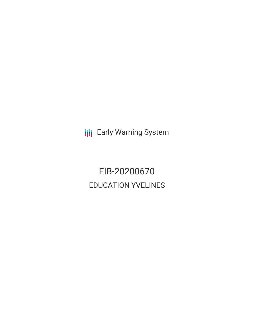**III** Early Warning System

EIB-20200670 EDUCATION YVELINES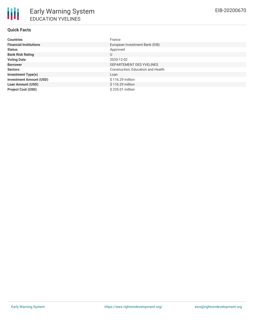# **Quick Facts**

| <b>Countries</b>               | France                             |
|--------------------------------|------------------------------------|
| <b>Financial Institutions</b>  | European Investment Bank (EIB)     |
| <b>Status</b>                  | Approved                           |
| <b>Bank Risk Rating</b>        | U                                  |
| <b>Voting Date</b>             | 2020-12-02                         |
| <b>Borrower</b>                | DEPARTEMENT DES YVELINES           |
| <b>Sectors</b>                 | Construction, Education and Health |
| <b>Investment Type(s)</b>      | Loan                               |
| <b>Investment Amount (USD)</b> | \$116.29 million                   |
| <b>Loan Amount (USD)</b>       | \$116.29 million                   |
| <b>Project Cost (USD)</b>      | \$235.01 million                   |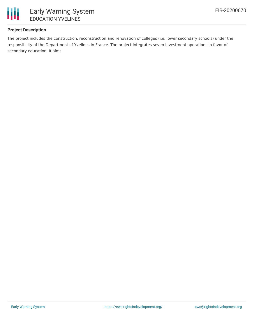

## **Project Description**

The project includes the construction, reconstruction and renovation of colleges (i.e. lower secondary schools) under the responsibility of the Department of Yvelines in France. The project integrates seven investment operations in favor of secondary education. It aims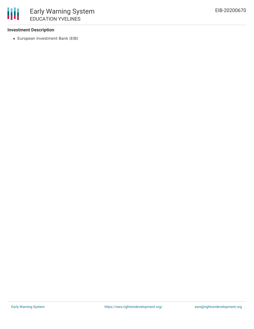#### **Investment Description**

European Investment Bank (EIB)